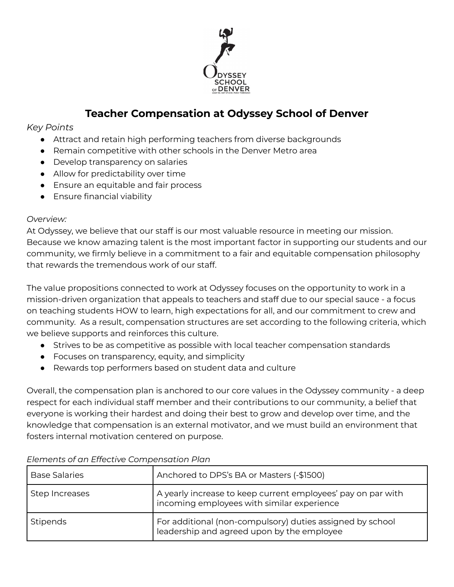

# **Teacher Compensation at Odyssey School of Denver**

## *Key Points*

- Attract and retain high performing teachers from diverse backgrounds
- Remain competitive with other schools in the Denver Metro area
- Develop transparency on salaries
- Allow for predictability over time
- Ensure an equitable and fair process
- Ensure financial viability

### *Overview:*

At Odyssey, we believe that our staff is our most valuable resource in meeting our mission. Because we know amazing talent is the most important factor in supporting our students and our community, we firmly believe in a commitment to a fair and equitable compensation philosophy that rewards the tremendous work of our staff.

The value propositions connected to work at Odyssey focuses on the opportunity to work in a mission-driven organization that appeals to teachers and staff due to our special sauce - a focus on teaching students HOW to learn, high expectations for all, and our commitment to crew and community. As a result, compensation structures are set according to the following criteria, which we believe supports and reinforces this culture.

- Strives to be as competitive as possible with local teacher compensation standards
- Focuses on transparency, equity, and simplicity
- Rewards top performers based on student data and culture

Overall, the compensation plan is anchored to our core values in the Odyssey community - a deep respect for each individual staff member and their contributions to our community, a belief that everyone is working their hardest and doing their best to grow and develop over time, and the knowledge that compensation is an external motivator, and we must build an environment that fosters internal motivation centered on purpose.

| <b>Base Salaries</b> | Anchored to DPS's BA or Masters (-\$1500)                                                                  |
|----------------------|------------------------------------------------------------------------------------------------------------|
| Step Increases       | A yearly increase to keep current employees' pay on par with<br>incoming employees with similar experience |
| Stipends             | For additional (non-compulsory) duties assigned by school<br>leadership and agreed upon by the employee    |

#### *Elements of an Effective Compensation Plan*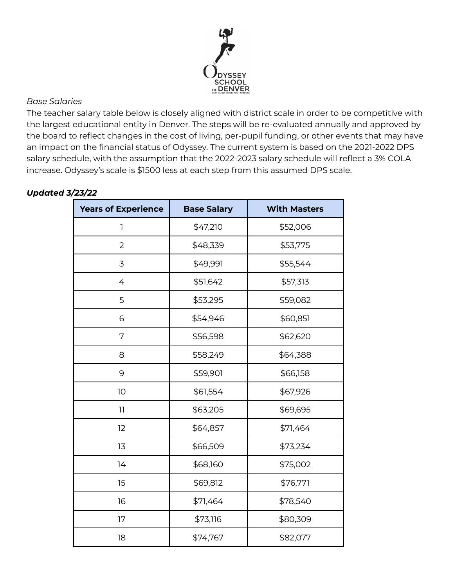

### *Base Salaries*

The teacher salary table below is closely aligned with district scale in order to be competitive with the largest educational entity in Denver. The steps will be re-evaluated annually and approved by the board to reflect changes in the cost of living, per-pupil funding, or other events that may have an impact on the financial status of Odyssey. The current system is based on the 2021-2022 DPS salary schedule, with the assumption that the 2022-2023 salary schedule will reflect a 3% COLA increase. Odyssey's scale is \$1500 less at each step from this assumed DPS scale.

| <b>Years of Experience</b> | <b>Base Salary</b> | <b>With Masters</b> |
|----------------------------|--------------------|---------------------|
| 1                          | \$47,210           | \$52,006            |
| $\overline{2}$             | \$48,339           | \$53,775            |
| 3                          | \$49,991           | \$55,544            |
| 4                          | \$51,642           | \$57,313            |
| 5                          | \$53,295           | \$59,082            |
| 6                          | \$54,946           | \$60,851            |
| 7                          | \$56,598           | \$62,620            |
| 8                          | \$58,249           | \$64,388            |
| 9                          | \$59,901           | \$66,158            |
| 10                         | \$61,554           | \$67,926            |
| $\overline{11}$            | \$63,205           | \$69,695            |
| 12                         | \$64,857           | \$71,464            |
| 13                         | \$66,509           | \$73,234            |
| 14                         | \$68,160           | \$75,002            |
| 15                         | \$69,812           | \$76,771            |
| 16                         | \$71,464           | \$78,540            |
| 17                         | \$73,116           | \$80,309            |
| 18                         | \$74,767           | \$82,077            |

## *Updated 3/23/22*